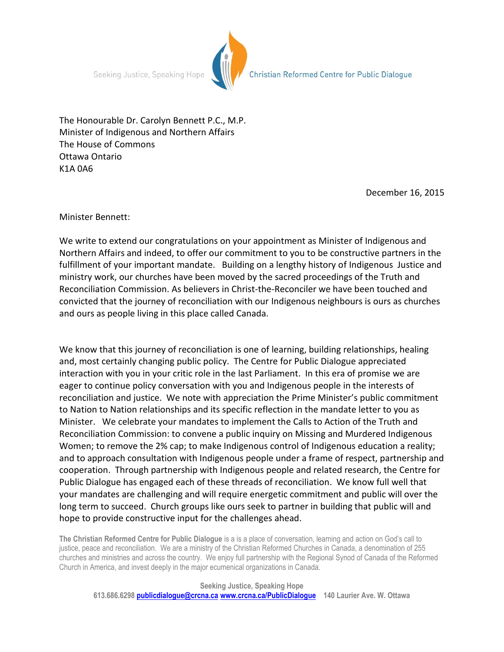Seeking Justice, Speaking Hope



Christian Reformed Centre for Public Dialogue

The Honourable Dr. Carolyn Bennett P.C., M.P. Minister of Indigenous and Northern Affairs The House of Commons Ottawa Ontario K1A 0A6

December 16, 2015

Minister Bennett:

We write to extend our congratulations on your appointment as Minister of Indigenous and Northern Affairs and indeed, to offer our commitment to you to be constructive partners in the fulfillment of your important mandate. Building on a lengthy history of Indigenous Justice and ministry work, our churches have been moved by the sacred proceedings of the Truth and Reconciliation Commission. As believers in Christ-the-Reconciler we have been touched and convicted that the journey of reconciliation with our Indigenous neighbours is ours as churches and ours as people living in this place called Canada.

We know that this journey of reconciliation is one of learning, building relationships, healing and, most certainly changing public policy. The Centre for Public Dialogue appreciated interaction with you in your critic role in the last Parliament. In this era of promise we are eager to continue policy conversation with you and Indigenous people in the interests of reconciliation and justice. We note with appreciation the Prime Minister's public commitment to Nation to Nation relationships and its specific reflection in the mandate letter to you as Minister. We celebrate your mandates to implement the Calls to Action of the Truth and Reconciliation Commission: to convene a public inquiry on Missing and Murdered Indigenous Women; to remove the 2% cap; to make Indigenous control of Indigenous education a reality; and to approach consultation with Indigenous people under a frame of respect, partnership and cooperation. Through partnership with Indigenous people and related research, the Centre for Public Dialogue has engaged each of these threads of reconciliation. We know full well that your mandates are challenging and will require energetic commitment and public will over the long term to succeed. Church groups like ours seek to partner in building that public will and hope to provide constructive input for the challenges ahead.

**The Christian Reformed Centre for Public Dialogue** is a is a place of conversation, learning and action on God's call to justice, peace and reconciliation. We are a ministry of the Christian Reformed Churches in Canada, a denomination of 255 churches and ministries and across the country. We enjoy full partnership with the Regional Synod of Canada of the Reformed Church in America, and invest deeply in the major ecumenical organizations in Canada.